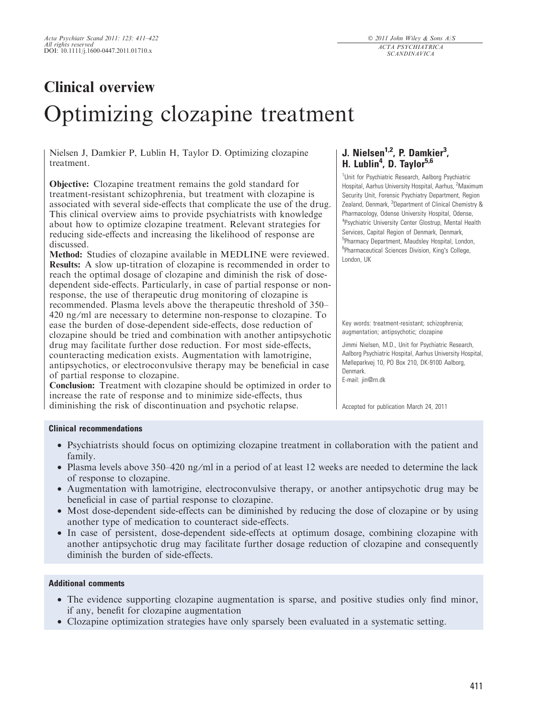# Clinical overview Optimizing clozapine treatment

Nielsen J, Damkier P, Lublin H, Taylor D. Optimizing clozapine treatment.

Objective: Clozapine treatment remains the gold standard for treatment-resistant schizophrenia, but treatment with clozapine is associated with several side-effects that complicate the use of the drug. This clinical overview aims to provide psychiatrists with knowledge about how to optimize clozapine treatment. Relevant strategies for reducing side-effects and increasing the likelihood of response are discussed.

Method: Studies of clozapine available in MEDLINE were reviewed. Results: A slow up-titration of clozapine is recommended in order to reach the optimal dosage of clozapine and diminish the risk of dosedependent side-effects. Particularly, in case of partial response or nonresponse, the use of therapeutic drug monitoring of clozapine is recommended. Plasma levels above the therapeutic threshold of 350– 420 ng/ml are necessary to determine non-response to clozapine. To ease the burden of dose-dependent side-effects, dose reduction of clozapine should be tried and combination with another antipsychotic drug may facilitate further dose reduction. For most side-effects, counteracting medication exists. Augmentation with lamotrigine, antipsychotics, or electroconvulsive therapy may be beneficial in case of partial response to clozapine.

Conclusion: Treatment with clozapine should be optimized in order to increase the rate of response and to minimize side-effects, thus diminishing the risk of discontinuation and psychotic relapse.

## J. Nielsen<sup>1,2</sup>, P. Damkier<sup>3</sup>, H. Lublin<sup>4</sup>, D. Taylor<sup>5,6</sup>

<sup>1</sup>Unit for Psychiatric Research, Aalborg Psychiatric Hospital, Aarhus University Hospital, Aarhus, <sup>2</sup>Maximum Security Unit, Forensic Psychiatry Department, Region Zealand, Denmark, <sup>3</sup>Department of Clinical Chemistry & Pharmacology, Odense University Hospital, Odense, <sup>4</sup>Psychiatric University Center Glostrup, Mental Health Services, Capital Region of Denmark, Denmark, 5 Pharmacy Department, Maudsley Hospital, London, <sup>6</sup>Pharmaceutical Sciences Division, King's College, London, UK

Key words: treatment-resistant; schizophrenia; augmentation; antipsychotic; clozapine

Jimmi Nielsen, M.D., Unit for Psychiatric Research, Aalborg Psychiatric Hospital, Aarhus University Hospital, Mølleparkvej 10, PO Box 210, DK-9100 Aalborg, Denmark. E-mail: jin@rn.dk

Accepted for publication March 24, 2011

#### Clinical recommendations

- Psychiatrists should focus on optimizing clozapine treatment in collaboration with the patient and family.
- Plasma levels above 350–420 ng/ml in a period of at least 12 weeks are needed to determine the lack of response to clozapine.
- Augmentation with lamotrigine, electroconvulsive therapy, or another antipsychotic drug may be beneficial in case of partial response to clozapine.
- Most dose-dependent side-effects can be diminished by reducing the dose of clozapine or by using another type of medication to counteract side-effects.
- In case of persistent, dose-dependent side-effects at optimum dosage, combining clozapine with another antipsychotic drug may facilitate further dosage reduction of clozapine and consequently diminish the burden of side-effects.

#### Additional comments

- The evidence supporting clozapine augmentation is sparse, and positive studies only find minor, if any, benefit for clozapine augmentation
- Clozapine optimization strategies have only sparsely been evaluated in a systematic setting.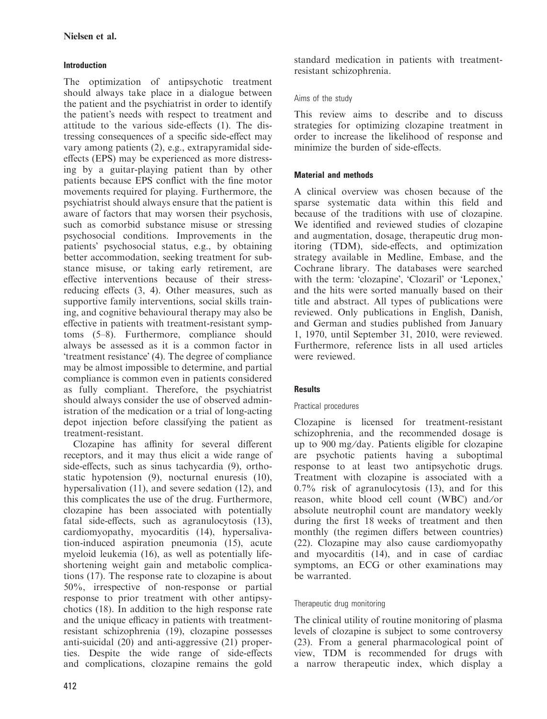## Introduction

The optimization of antipsychotic treatment should always take place in a dialogue between the patient and the psychiatrist in order to identify the patient's needs with respect to treatment and attitude to the various side-effects (1). The distressing consequences of a specific side-effect may vary among patients (2), e.g., extrapyramidal sideeffects (EPS) may be experienced as more distressing by a guitar-playing patient than by other patients because EPS conflict with the fine motor movements required for playing. Furthermore, the psychiatrist should always ensure that the patient is aware of factors that may worsen their psychosis, such as comorbid substance misuse or stressing psychosocial conditions. Improvements in the patients' psychosocial status, e.g., by obtaining better accommodation, seeking treatment for substance misuse, or taking early retirement, are effective interventions because of their stressreducing effects (3, 4). Other measures, such as supportive family interventions, social skills training, and cognitive behavioural therapy may also be effective in patients with treatment-resistant symptoms (5–8). Furthermore, compliance should always be assessed as it is a common factor in 'treatment resistance' (4). The degree of compliance may be almost impossible to determine, and partial compliance is common even in patients considered as fully compliant. Therefore, the psychiatrist should always consider the use of observed administration of the medication or a trial of long-acting depot injection before classifying the patient as treatment-resistant.

Clozapine has affinity for several different receptors, and it may thus elicit a wide range of side-effects, such as sinus tachycardia (9), orthostatic hypotension (9), nocturnal enuresis (10), hypersalivation (11), and severe sedation (12), and this complicates the use of the drug. Furthermore, clozapine has been associated with potentially fatal side-effects, such as agranulocytosis (13), cardiomyopathy, myocarditis (14), hypersalivation-induced aspiration pneumonia (15), acute myeloid leukemia (16), as well as potentially lifeshortening weight gain and metabolic complications (17). The response rate to clozapine is about 50%, irrespective of non-response or partial response to prior treatment with other antipsychotics (18). In addition to the high response rate and the unique efficacy in patients with treatmentresistant schizophrenia (19), clozapine possesses anti-suicidal (20) and anti-aggressive (21) properties. Despite the wide range of side-effects and complications, clozapine remains the gold standard medication in patients with treatmentresistant schizophrenia.

## Aims of the study

This review aims to describe and to discuss strategies for optimizing clozapine treatment in order to increase the likelihood of response and minimize the burden of side-effects.

## Material and methods

A clinical overview was chosen because of the sparse systematic data within this field and because of the traditions with use of clozapine. We identified and reviewed studies of clozapine and augmentation, dosage, therapeutic drug monitoring (TDM), side-effects, and optimization strategy available in Medline, Embase, and the Cochrane library. The databases were searched with the term: 'clozapine', 'Clozaril' or 'Leponex,' and the hits were sorted manually based on their title and abstract. All types of publications were reviewed. Only publications in English, Danish, and German and studies published from January 1, 1970, until September 31, 2010, were reviewed. Furthermore, reference lists in all used articles were reviewed.

## **Results**

## Practical procedures

Clozapine is licensed for treatment-resistant schizophrenia, and the recommended dosage is up to 900 mg ⁄day. Patients eligible for clozapine are psychotic patients having a suboptimal response to at least two antipsychotic drugs. Treatment with clozapine is associated with a 0.7% risk of agranulocytosis (13), and for this reason, white blood cell count (WBC) and/or absolute neutrophil count are mandatory weekly during the first 18 weeks of treatment and then monthly (the regimen differs between countries) (22). Clozapine may also cause cardiomyopathy and myocarditis (14), and in case of cardiac symptoms, an ECG or other examinations may be warranted.

## Therapeutic drug monitoring

The clinical utility of routine monitoring of plasma levels of clozapine is subject to some controversy (23). From a general pharmacological point of view, TDM is recommended for drugs with a narrow therapeutic index, which display a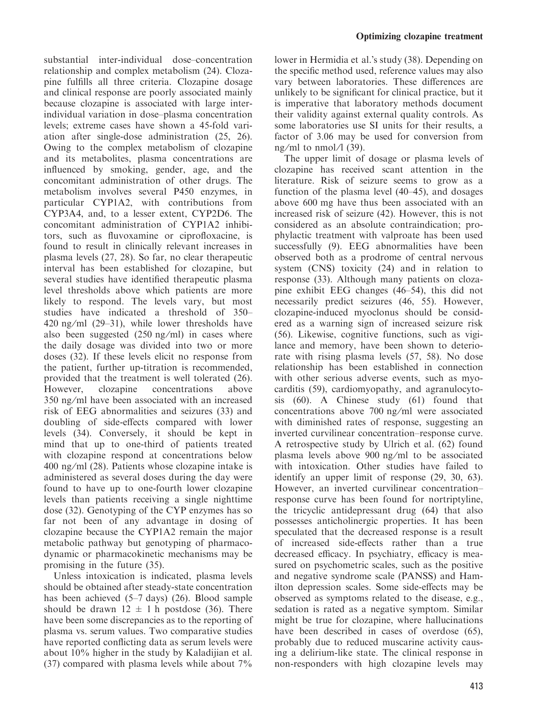substantial inter-individual dose–concentration relationship and complex metabolism (24). Clozapine fulfills all three criteria. Clozapine dosage and clinical response are poorly associated mainly because clozapine is associated with large interindividual variation in dose–plasma concentration levels; extreme cases have shown a 45-fold variation after single-dose administration (25, 26). Owing to the complex metabolism of clozapine and its metabolites, plasma concentrations are influenced by smoking, gender, age, and the concomitant administration of other drugs. The metabolism involves several P450 enzymes, in particular CYP1A2, with contributions from CYP3A4, and, to a lesser extent, CYP2D6. The concomitant administration of CYP1A2 inhibitors, such as fluvoxamine or ciprofloxacine, is found to result in clinically relevant increases in plasma levels (27, 28). So far, no clear therapeutic interval has been established for clozapine, but several studies have identified therapeutic plasma level thresholds above which patients are more likely to respond. The levels vary, but most studies have indicated a threshold of 350– 420 ng/ml  $(29-31)$ , while lower thresholds have also been suggested  $(250 \text{ ng/ml})$  in cases where the daily dosage was divided into two or more doses (32). If these levels elicit no response from the patient, further up-titration is recommended, provided that the treatment is well tolerated (26). However, clozapine concentrations above 350 ng ⁄ ml have been associated with an increased risk of EEG abnormalities and seizures (33) and doubling of side-effects compared with lower levels (34). Conversely, it should be kept in mind that up to one-third of patients treated with clozapine respond at concentrations below  $400$  ng/ml  $(28)$ . Patients whose clozapine intake is administered as several doses during the day were found to have up to one-fourth lower clozapine levels than patients receiving a single nighttime dose (32). Genotyping of the CYP enzymes has so far not been of any advantage in dosing of clozapine because the CYP1A2 remain the major metabolic pathway but genotyping of pharmacodynamic or pharmacokinetic mechanisms may be promising in the future (35).

Unless intoxication is indicated, plasma levels should be obtained after steady-state concentration has been achieved (5–7 days) (26). Blood sample should be drawn  $12 \pm 1$  h postdose (36). There have been some discrepancies as to the reporting of plasma vs. serum values. Two comparative studies have reported conflicting data as serum levels were about 10% higher in the study by Kaladijian et al. (37) compared with plasma levels while about 7% lower in Hermidia et al.'s study (38). Depending on the specific method used, reference values may also vary between laboratories. These differences are unlikely to be significant for clinical practice, but it is imperative that laboratory methods document their validity against external quality controls. As some laboratories use SI units for their results, a factor of 3.06 may be used for conversion from ng/ml to nmol/ $\frac{1}{39}$ .

The upper limit of dosage or plasma levels of clozapine has received scant attention in the literature. Risk of seizure seems to grow as a function of the plasma level (40–45), and dosages above 600 mg have thus been associated with an increased risk of seizure (42). However, this is not considered as an absolute contraindication; prophylactic treatment with valproate has been used successfully (9). EEG abnormalities have been observed both as a prodrome of central nervous system (CNS) toxicity (24) and in relation to response (33). Although many patients on clozapine exhibit EEG changes (46–54), this did not necessarily predict seizures (46, 55). However, clozapine-induced myoclonus should be considered as a warning sign of increased seizure risk (56). Likewise, cognitive functions, such as vigilance and memory, have been shown to deteriorate with rising plasma levels (57, 58). No dose relationship has been established in connection with other serious adverse events, such as myocarditis (59), cardiomyopathy, and agranulocytosis (60). A Chinese study (61) found that concentrations above 700 ng ⁄ ml were associated with diminished rates of response, suggesting an inverted curvilinear concentration–response curve. A retrospective study by Ulrich et al. (62) found plasma levels above 900 ng ⁄ml to be associated with intoxication. Other studies have failed to identify an upper limit of response (29, 30, 63). However, an inverted curvilinear concentration– response curve has been found for nortriptyline, the tricyclic antidepressant drug (64) that also possesses anticholinergic properties. It has been speculated that the decreased response is a result of increased side-effects rather than a true decreased efficacy. In psychiatry, efficacy is measured on psychometric scales, such as the positive and negative syndrome scale (PANSS) and Hamilton depression scales. Some side-effects may be observed as symptoms related to the disease, e.g., sedation is rated as a negative symptom. Similar might be true for clozapine, where hallucinations have been described in cases of overdose (65), probably due to reduced muscarine activity causing a delirium-like state. The clinical response in non-responders with high clozapine levels may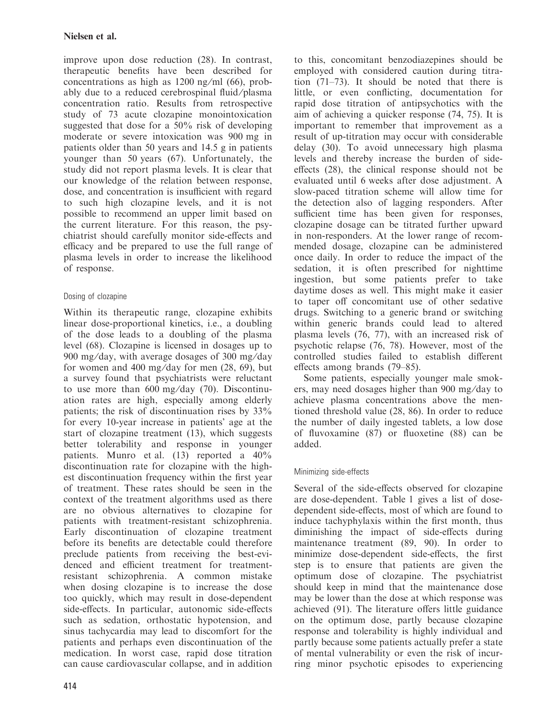improve upon dose reduction (28). In contrast, therapeutic benefits have been described for concentrations as high as  $1200$  ng/ml (66), probably due to a reduced cerebrospinal fluid/plasma concentration ratio. Results from retrospective study of 73 acute clozapine monointoxication suggested that dose for a 50% risk of developing moderate or severe intoxication was 900 mg in patients older than 50 years and 14.5 g in patients younger than 50 years (67). Unfortunately, the study did not report plasma levels. It is clear that our knowledge of the relation between response, dose, and concentration is insufficient with regard to such high clozapine levels, and it is not possible to recommend an upper limit based on the current literature. For this reason, the psychiatrist should carefully monitor side-effects and efficacy and be prepared to use the full range of plasma levels in order to increase the likelihood of response.

## Dosing of clozapine

Within its therapeutic range, clozapine exhibits linear dose-proportional kinetics, i.e., a doubling of the dose leads to a doubling of the plasma level (68). Clozapine is licensed in dosages up to 900 mg/day, with average dosages of 300 mg/day for women and 400 mg/day for men  $(28, 69)$ , but a survey found that psychiatrists were reluctant to use more than  $600 \text{ mg/day}$  (70). Discontinuation rates are high, especially among elderly patients; the risk of discontinuation rises by 33% for every 10-year increase in patients' age at the start of clozapine treatment (13), which suggests better tolerability and response in younger patients. Munro et al. (13) reported a 40% discontinuation rate for clozapine with the highest discontinuation frequency within the first year of treatment. These rates should be seen in the context of the treatment algorithms used as there are no obvious alternatives to clozapine for patients with treatment-resistant schizophrenia. Early discontinuation of clozapine treatment before its benefits are detectable could therefore preclude patients from receiving the best-evidenced and efficient treatment for treatmentresistant schizophrenia. A common mistake when dosing clozapine is to increase the dose too quickly, which may result in dose-dependent side-effects. In particular, autonomic side-effects such as sedation, orthostatic hypotension, and sinus tachycardia may lead to discomfort for the patients and perhaps even discontinuation of the medication. In worst case, rapid dose titration can cause cardiovascular collapse, and in addition employed with considered caution during titration (71–73). It should be noted that there is little, or even conflicting, documentation for rapid dose titration of antipsychotics with the aim of achieving a quicker response (74, 75). It is important to remember that improvement as a result of up-titration may occur with considerable delay (30). To avoid unnecessary high plasma levels and thereby increase the burden of sideeffects (28), the clinical response should not be evaluated until 6 weeks after dose adjustment. A slow-paced titration scheme will allow time for the detection also of lagging responders. After sufficient time has been given for responses, clozapine dosage can be titrated further upward in non-responders. At the lower range of recommended dosage, clozapine can be administered once daily. In order to reduce the impact of the sedation, it is often prescribed for nighttime ingestion, but some patients prefer to take daytime doses as well. This might make it easier to taper off concomitant use of other sedative drugs. Switching to a generic brand or switching within generic brands could lead to altered plasma levels (76, 77), with an increased risk of psychotic relapse (76, 78). However, most of the controlled studies failed to establish different effects among brands (79–85).

to this, concomitant benzodiazepines should be

Some patients, especially younger male smokers, may need dosages higher than 900 mg ⁄day to achieve plasma concentrations above the mentioned threshold value (28, 86). In order to reduce the number of daily ingested tablets, a low dose of fluvoxamine (87) or fluoxetine (88) can be added.

## Minimizing side-effects

Several of the side-effects observed for clozapine are dose-dependent. Table 1 gives a list of dosedependent side-effects, most of which are found to induce tachyphylaxis within the first month, thus diminishing the impact of side-effects during maintenance treatment (89, 90). In order to minimize dose-dependent side-effects, the first step is to ensure that patients are given the optimum dose of clozapine. The psychiatrist should keep in mind that the maintenance dose may be lower than the dose at which response was achieved (91). The literature offers little guidance on the optimum dose, partly because clozapine response and tolerability is highly individual and partly because some patients actually prefer a state of mental vulnerability or even the risk of incurring minor psychotic episodes to experiencing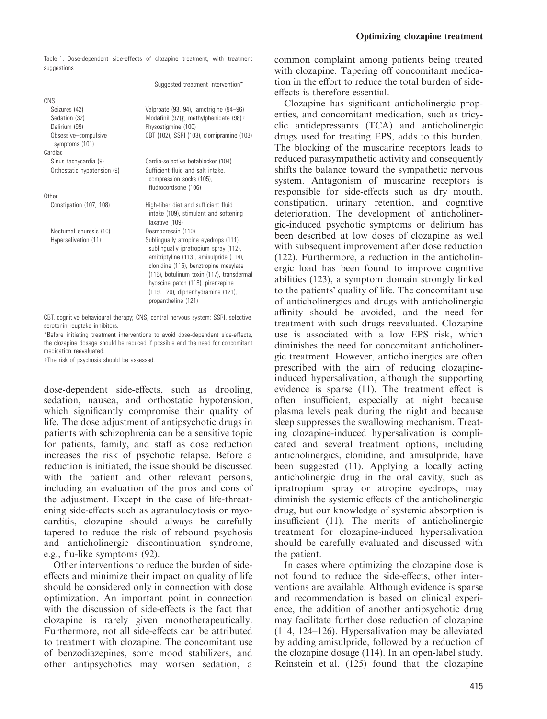| Suggested treatment intervention*                                                                                                                                                                                                                                                                                 |
|-------------------------------------------------------------------------------------------------------------------------------------------------------------------------------------------------------------------------------------------------------------------------------------------------------------------|
|                                                                                                                                                                                                                                                                                                                   |
| Valproate (93, 94), lamotrigine (94-96)                                                                                                                                                                                                                                                                           |
| Modafinil (97)†, methylphenidate (98)†                                                                                                                                                                                                                                                                            |
| Physostigmine (100)                                                                                                                                                                                                                                                                                               |
| CBT (102), SSRI (103), clomipramine (103)                                                                                                                                                                                                                                                                         |
|                                                                                                                                                                                                                                                                                                                   |
| Cardio-selective betablocker (104)                                                                                                                                                                                                                                                                                |
| Sufficient fluid and salt intake,<br>compression socks (105),<br>fludrocortisone (106)                                                                                                                                                                                                                            |
|                                                                                                                                                                                                                                                                                                                   |
| High-fiber diet and sufficient fluid<br>intake (109), stimulant and softening<br>laxative (109)                                                                                                                                                                                                                   |
| Desmopressin (110)                                                                                                                                                                                                                                                                                                |
| Sublingually atropine eyedrops (111),<br>sublingually ipratropium spray (112),<br>amitriptyline (113), amisulpride (114),<br>clonidine (115), benztropine mesylate<br>(116), botulinum toxin (117), transdermal<br>hyoscine patch (118), pirenzepine<br>(119, 120), diphenhydramine (121),<br>propantheline (121) |
|                                                                                                                                                                                                                                                                                                                   |

Table 1. Dose-dependent side-effects of clozapine treatment, with treatment suggestions

CBT, cognitive behavioural therapy; CNS, central nervous system; SSRI, selective serotonin reuptake inhibitors.

\*Before initiating treatment interventions to avoid dose-dependent side-effects, the clozapine dosage should be reduced if possible and the need for concomitant medication reevaluated.

#The risk of psychosis should be assessed.

dose-dependent side-effects, such as drooling, sedation, nausea, and orthostatic hypotension, which significantly compromise their quality of life. The dose adjustment of antipsychotic drugs in patients with schizophrenia can be a sensitive topic for patients, family, and staff as dose reduction increases the risk of psychotic relapse. Before a reduction is initiated, the issue should be discussed with the patient and other relevant persons, including an evaluation of the pros and cons of the adjustment. Except in the case of life-threatening side-effects such as agranulocytosis or myocarditis, clozapine should always be carefully tapered to reduce the risk of rebound psychosis and anticholinergic discontinuation syndrome, e.g., flu-like symptoms (92).

Other interventions to reduce the burden of sideeffects and minimize their impact on quality of life should be considered only in connection with dose optimization. An important point in connection with the discussion of side-effects is the fact that clozapine is rarely given monotherapeutically. Furthermore, not all side-effects can be attributed to treatment with clozapine. The concomitant use of benzodiazepines, some mood stabilizers, and other antipsychotics may worsen sedation, a common complaint among patients being treated with clozapine. Tapering off concomitant medication in the effort to reduce the total burden of sideeffects is therefore essential.

Clozapine has significant anticholinergic properties, and concomitant medication, such as tricyclic antidepressants (TCA) and anticholinergic drugs used for treating EPS, adds to this burden. The blocking of the muscarine receptors leads to reduced parasympathetic activity and consequently shifts the balance toward the sympathetic nervous system. Antagonism of muscarine receptors is responsible for side-effects such as dry mouth, constipation, urinary retention, and cognitive deterioration. The development of anticholinergic-induced psychotic symptoms or delirium has been described at low doses of clozapine as well with subsequent improvement after dose reduction (122). Furthermore, a reduction in the anticholinergic load has been found to improve cognitive abilities (123), a symptom domain strongly linked to the patients' quality of life. The concomitant use of anticholinergics and drugs with anticholinergic affinity should be avoided, and the need for treatment with such drugs reevaluated. Clozapine use is associated with a low EPS risk, which diminishes the need for concomitant anticholinergic treatment. However, anticholinergics are often prescribed with the aim of reducing clozapineinduced hypersalivation, although the supporting evidence is sparse (11). The treatment effect is often insufficient, especially at night because plasma levels peak during the night and because sleep suppresses the swallowing mechanism. Treating clozapine-induced hypersalivation is complicated and several treatment options, including anticholinergics, clonidine, and amisulpride, have been suggested (11). Applying a locally acting anticholinergic drug in the oral cavity, such as ipratropium spray or atropine eyedrops, may diminish the systemic effects of the anticholinergic drug, but our knowledge of systemic absorption is insufficient (11). The merits of anticholinergic treatment for clozapine-induced hypersalivation should be carefully evaluated and discussed with the patient.

In cases where optimizing the clozapine dose is not found to reduce the side-effects, other interventions are available. Although evidence is sparse and recommendation is based on clinical experience, the addition of another antipsychotic drug may facilitate further dose reduction of clozapine (114, 124–126). Hypersalivation may be alleviated by adding amisulpride, followed by a reduction of the clozapine dosage (114). In an open-label study, Reinstein et al. (125) found that the clozapine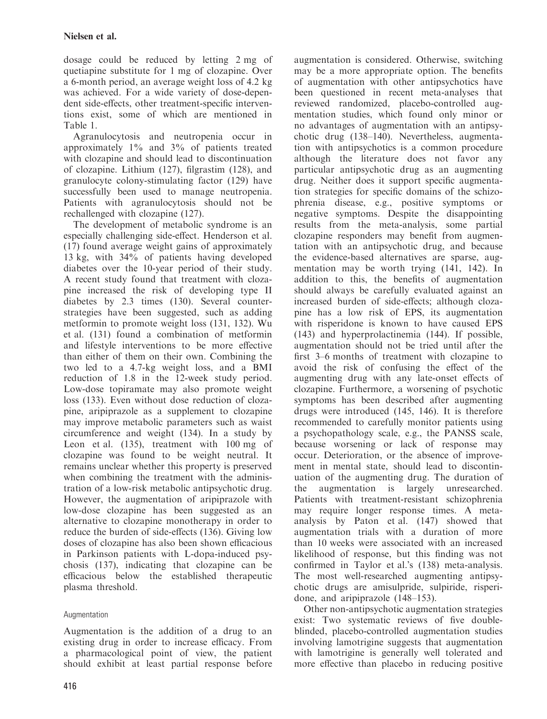dosage could be reduced by letting 2 mg of quetiapine substitute for 1 mg of clozapine. Over a 6-month period, an average weight loss of 4.2 kg was achieved. For a wide variety of dose-dependent side-effects, other treatment-specific interventions exist, some of which are mentioned in Table 1.

Agranulocytosis and neutropenia occur in approximately 1% and 3% of patients treated with clozapine and should lead to discontinuation of clozapine. Lithium (127), filgrastim (128), and granulocyte colony-stimulating factor (129) have successfully been used to manage neutropenia. Patients with agranulocytosis should not be rechallenged with clozapine (127).

The development of metabolic syndrome is an especially challenging side-effect. Henderson et al. (17) found average weight gains of approximately 13 kg, with 34% of patients having developed diabetes over the 10-year period of their study. A recent study found that treatment with clozapine increased the risk of developing type II diabetes by 2.3 times (130). Several counterstrategies have been suggested, such as adding metformin to promote weight loss (131, 132). Wu et al. (131) found a combination of metformin and lifestyle interventions to be more effective than either of them on their own. Combining the two led to a 4.7-kg weight loss, and a BMI reduction of 1.8 in the 12-week study period. Low-dose topiramate may also promote weight loss (133). Even without dose reduction of clozapine, aripiprazole as a supplement to clozapine may improve metabolic parameters such as waist circumference and weight (134). In a study by Leon et al. (135), treatment with 100 mg of clozapine was found to be weight neutral. It remains unclear whether this property is preserved when combining the treatment with the administration of a low-risk metabolic antipsychotic drug. However, the augmentation of aripiprazole with low-dose clozapine has been suggested as an alternative to clozapine monotherapy in order to reduce the burden of side-effects (136). Giving low doses of clozapine has also been shown efficacious in Parkinson patients with L-dopa-induced psychosis (137), indicating that clozapine can be efficacious below the established therapeutic plasma threshold.

## Augmentation

Augmentation is the addition of a drug to an existing drug in order to increase efficacy. From a pharmacological point of view, the patient should exhibit at least partial response before

416

augmentation is considered. Otherwise, switching may be a more appropriate option. The benefits of augmentation with other antipsychotics have been questioned in recent meta-analyses that reviewed randomized, placebo-controlled augmentation studies, which found only minor or no advantages of augmentation with an antipsychotic drug (138–140). Nevertheless, augmentation with antipsychotics is a common procedure although the literature does not favor any particular antipsychotic drug as an augmenting drug. Neither does it support specific augmentation strategies for specific domains of the schizophrenia disease, e.g., positive symptoms or negative symptoms. Despite the disappointing results from the meta-analysis, some partial clozapine responders may benefit from augmentation with an antipsychotic drug, and because the evidence-based alternatives are sparse, augmentation may be worth trying (141, 142). In addition to this, the benefits of augmentation should always be carefully evaluated against an increased burden of side-effects; although clozapine has a low risk of EPS, its augmentation with risperidone is known to have caused EPS (143) and hyperprolactinemia (144). If possible, augmentation should not be tried until after the first 3–6 months of treatment with clozapine to avoid the risk of confusing the effect of the augmenting drug with any late-onset effects of clozapine. Furthermore, a worsening of psychotic symptoms has been described after augmenting drugs were introduced (145, 146). It is therefore recommended to carefully monitor patients using a psychopathology scale, e.g., the PANSS scale, because worsening or lack of response may occur. Deterioration, or the absence of improvement in mental state, should lead to discontinuation of the augmenting drug. The duration of the augmentation is largely unresearched. Patients with treatment-resistant schizophrenia may require longer response times. A metaanalysis by Paton et al. (147) showed that augmentation trials with a duration of more than 10 weeks were associated with an increased likelihood of response, but this finding was not confirmed in Taylor et al.'s (138) meta-analysis. The most well-researched augmenting antipsychotic drugs are amisulpride, sulpiride, risperidone, and aripiprazole (148–153).

Other non-antipsychotic augmentation strategies exist: Two systematic reviews of five doubleblinded, placebo-controlled augmentation studies involving lamotrigine suggests that augmentation with lamotrigine is generally well tolerated and more effective than placebo in reducing positive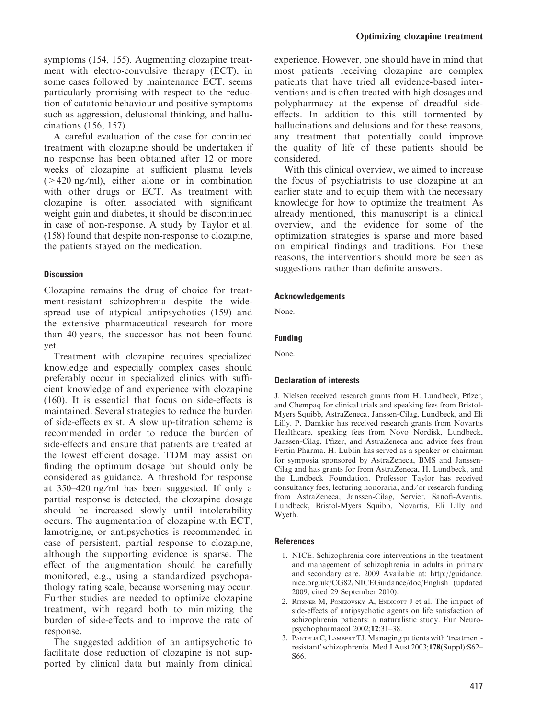A careful evaluation of the case for continued treatment with clozapine should be undertaken if no response has been obtained after 12 or more weeks of clozapine at sufficient plasma levels  $(>420 \text{ ng/ml})$ , either alone or in combination with other drugs or ECT. As treatment with clozapine is often associated with significant weight gain and diabetes, it should be discontinued in case of non-response. A study by Taylor et al. (158) found that despite non-response to clozapine, the patients stayed on the medication.

#### Discussion

Clozapine remains the drug of choice for treatment-resistant schizophrenia despite the widespread use of atypical antipsychotics (159) and the extensive pharmaceutical research for more than 40 years, the successor has not been found yet.

Treatment with clozapine requires specialized knowledge and especially complex cases should preferably occur in specialized clinics with sufficient knowledge of and experience with clozapine (160). It is essential that focus on side-effects is maintained. Several strategies to reduce the burden of side-effects exist. A slow up-titration scheme is recommended in order to reduce the burden of side-effects and ensure that patients are treated at the lowest efficient dosage. TDM may assist on finding the optimum dosage but should only be considered as guidance. A threshold for response at 350–420 ng ⁄ ml has been suggested. If only a partial response is detected, the clozapine dosage should be increased slowly until intolerability occurs. The augmentation of clozapine with ECT, lamotrigine, or antipsychotics is recommended in case of persistent, partial response to clozapine, although the supporting evidence is sparse. The effect of the augmentation should be carefully monitored, e.g., using a standardized psychopathology rating scale, because worsening may occur. Further studies are needed to optimize clozapine treatment, with regard both to minimizing the burden of side-effects and to improve the rate of response.

The suggested addition of an antipsychotic to facilitate dose reduction of clozapine is not supported by clinical data but mainly from clinical experience. However, one should have in mind that most patients receiving clozapine are complex patients that have tried all evidence-based interventions and is often treated with high dosages and polypharmacy at the expense of dreadful sideeffects. In addition to this still tormented by hallucinations and delusions and for these reasons, any treatment that potentially could improve the quality of life of these patients should be considered.

With this clinical overview, we aimed to increase the focus of psychiatrists to use clozapine at an earlier state and to equip them with the necessary knowledge for how to optimize the treatment. As already mentioned, this manuscript is a clinical overview, and the evidence for some of the optimization strategies is sparse and more based on empirical findings and traditions. For these reasons, the interventions should more be seen as suggestions rather than definite answers.

#### Acknowledgements

None.

#### Funding

None.

#### Declaration of interests

J. Nielsen received research grants from H. Lundbeck, Pfizer, and Chempaq for clinical trials and speaking fees from Bristol-Myers Squibb, AstraZeneca, Janssen-Cilag, Lundbeck, and Eli Lilly. P. Damkier has received research grants from Novartis Healthcare, speaking fees from Novo Nordisk, Lundbeck, Janssen-Cilag, Pfizer, and AstraZeneca and advice fees from Fertin Pharma. H. Lublin has served as a speaker or chairman for symposia sponsored by AstraZeneca, BMS and Janssen-Cilag and has grants for from AstraZeneca, H. Lundbeck, and the Lundbeck Foundation. Professor Taylor has received consultancy fees, lecturing honoraria, and ⁄ or research funding from AstraZeneca, Janssen-Cilag, Servier, Sanofi-Aventis, Lundbeck, Bristol-Myers Squibb, Novartis, Eli Lilly and Wyeth.

#### References

- 1. NICE. Schizophrenia core interventions in the treatment and management of schizophrenia in adults in primary and secondary care. 2009 Available at: http://guidance. nice.org.uk/CG82/NICEGuidance/doc/English (updated 2009; cited 29 September 2010).
- 2. RITSNER M, PONIZOVSKY A, ENDICOTT J et al. The impact of side-effects of antipsychotic agents on life satisfaction of schizophrenia patients: a naturalistic study. Eur Neuropsychopharmacol 2002;12:31–38.
- 3. Pantelis C, Lambert TJ. Managing patients with "treatmentresistant' schizophrenia. Med J Aust 2003;178(Suppl):S62– S66.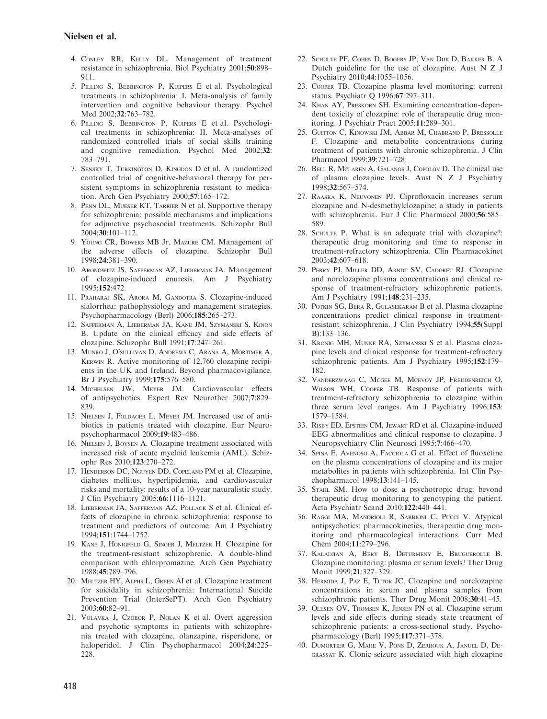- 4. Conley RR, Kelly DL. Management of treatment resistance in schizophrenia. Biol Psychiatry 2001;50:898– 911.
- 5. Pilling S, Bebbington P, Kuipers E et al. Psychological treatments in schizophrenia: I. Meta-analysis of family intervention and cognitive behaviour therapy. Psychol Med 2002;32:763–782.
- 6. Pilling S, Bebbington P, Kuipers E et al. Psychological treatments in schizophrenia: II. Meta-analyses of randomized controlled trials of social skills training and cognitive remediation. Psychol Med 2002;32: 783–791.
- 7. Sensky T, Turkington D, Kingdon D et al. A randomized controlled trial of cognitive-behavioral therapy for persistent symptoms in schizophrenia resistant to medication. Arch Gen Psychiatry 2000;57:165–172.
- 8. Penn DL, Mueser KT, Tarrier N et al. Supportive therapy for schizophrenia: possible mechanisms and implications for adjunctive psychosocial treatments. Schizophr Bull 2004;30:101–112.
- 9. Young CR, Bowers MB Jr, Mazure CM. Management of the adverse effects of clozapine. Schizophr Bull 1998;24:381–390.
- 10. Aronowitz JS, Safferman AZ, Lieberman JA. Management of clozapine-induced enuresis. Am J Psychiatry 1995;152:472.
- 11. Praharaj SK, Arora M, Gandotra S. Clozapine-induced sialorrhea: pathophysiology and management strategies. Psychopharmacology (Berl) 2006;185:265–273.
- 12. Safferman A, Lieberman JA, Kane JM, Szymanski S, Kinon B. Update on the clinical efficacy and side effects of clozapine. Schizophr Bull 1991;17:247–261.
- 13. MUNRO J, O'SULLIVAN D, ANDREWS C, ARANA A, MORTIMER A, Kerwin R. Active monitoring of 12,760 clozapine recipients in the UK and Ireland. Beyond pharmacovigilance. Br J Psychiatry 1999;175:576–580.
- 14. Michelsen JW, Meyer JM. Cardiovascular effects of antipsychotics. Expert Rev Neurother 2007;7:829– 839.
- 15. Nielsen J, Foldager L, Meyer JM. Increased use of antibiotics in patients treated with clozapine. Eur Neuropsychopharmacol 2009;19:483–486.
- 16. Nielsen J, Boysen A. Clozapine treatment associated with increased risk of acute myeloid leukemia (AML). Schizophr Res 2010;123:270–272.
- 17. Henderson DC, Nguyen DD, Copeland PM et al. Clozapine, diabetes mellitus, hyperlipidemia, and cardiovascular risks and mortality: results of a 10-year naturalistic study. J Clin Psychiatry 2005;66:1116–1121.
- 18. Lieberman JA, Safferman AZ, Pollack S et al. Clinical effects of clozapine in chronic schizophrenia: response to treatment and predictors of outcome. Am J Psychiatry 1994;151:1744–1752.
- 19. Kane J, Honigfeld G, Singer J, Meltzer H. Clozapine for the treatment-resistant schizophrenic. A double-blind comparison with chlorpromazine. Arch Gen Psychiatry 1988;45:789–796.
- 20. Meltzer HY, Alphs L, Green AI et al. Clozapine treatment for suicidality in schizophrenia: International Suicide Prevention Trial (InterSePT). Arch Gen Psychiatry 2003;60:82–91.
- 21. Volavka J, Czobor P, Nolan K et al. Overt aggression and psychotic symptoms in patients with schizophrenia treated with clozapine, olanzapine, risperidone, or haloperidol. J Clin Psychopharmacol 2004;24:225– 228.
- 22. Schulte PF, Cohen D, Bogers JP, Van Dijk D, Bakker B. A Dutch guideline for the use of clozapine. Aust N Z J Psychiatry 2010;44:1055–1056.
- 23. Cooper TB. Clozapine plasma level monitoring: current status. Psychiatr Q 1996;67:297–311.
- 24. Khan AY, Preskorn SH. Examining concentration-dependent toxicity of clozapine: role of therapeutic drug monitoring. J Psychiatr Pract 2005;11:289–301.
- 25. Guitton C, Kinowski JM, Abbar M, Chabrand P, Bressolle F. Clozapine and metabolite concentrations during treatment of patients with chronic schizophrenia. J Clin Pharmacol 1999;39:721–728.
- 26. Bell R, Mclaren A, Galanos J, Copolov D. The clinical use of plasma clozapine levels. Aust N Z J Psychiatry 1998;32:567–574.
- 27. Raaska K, Neuvonen PJ. Ciprofloxacin increases serum clozapine and N-desmethylclozapine: a study in patients with schizophrenia. Eur J Clin Pharmacol 2000;56:585– 589.
- 28. SCHULTE P. What is an adequate trial with clozapine?: therapeutic drug monitoring and time to response in treatment-refractory schizophrenia. Clin Pharmacokinet 2003;42:607–618.
- 29. Perry PJ, Miller DD, Arndt SV, Cadoret RJ. Clozapine and norclozapine plasma concentrations and clinical response of treatment-refractory schizophrenic patients. Am J Psychiatry 1991;148:231–235.
- 30. Potkin SG, Bera R, Gulasekaram B et al. Plasma clozapine concentrations predict clinical response in treatmentresistant schizophrenia. J Clin Psychiatry 1994;55(Suppl B):133–136.
- 31. Kronig MH, Munne RA, Szymanski S et al. Plasma clozapine levels and clinical response for treatment-refractory schizophrenic patients. Am J Psychiatry 1995;152:179– 182.
- 32. Vanderzwaag C, Mcgee M, Mcevoy JP, Freudenreich O, Wilson WH, Cooper TB. Response of patients with treatment-refractory schizophrenia to clozapine within three serum level ranges. Am J Psychiatry 1996;153: 1579–1584.
- 33. Risby ED, Epstein CM, Jewart RD et al. Clozapine-induced EEG abnormalities and clinical response to clozapine. J Neuropsychiatry Clin Neurosci 1995;7:466–470.
- 34. Spina E, Avenoso A, Facciola G et al. Effect of fluoxetine on the plasma concentrations of clozapine and its major metabolites in patients with schizophrenia. Int Clin Psychopharmacol 1998;13:141–145.
- 35. Stahl SM. How to dose a psychotropic drug: beyond therapeutic drug monitoring to genotyping the patient. Acta Psychiatr Scand 2010;122:440–441.
- 36. Raggi MA, Mandrioli R, Sabbioni C, Pucci V. Atypical antipsychotics: pharmacokinetics, therapeutic drug monitoring and pharmacological interactions. Curr Med Chem 2004;11:279–296.
- 37. Kaladjian A, Bery B, Deturmeny E, Bruguerolle B. Clozapine monitoring: plasma or serum levels? Ther Drug Monit 1999;21:327–329.
- 38. Hermida J, Paz E, Tutor JC. Clozapine and norclozapine concentrations in serum and plasma samples from schizophrenic patients. Ther Drug Monit 2008;30:41–45.
- 39. Olesen OV, Thomsen K, Jensen PN et al. Clozapine serum levels and side effects during steady state treatment of schizophrenic patients: a cross-sectional study. Psychopharmacology (Berl) 1995;117:371–378.
- 40. Dumortier G, Mahe V, Pons D, Zerrouk A, Januel D, Degrassat K. Clonic seizure associated with high clozapine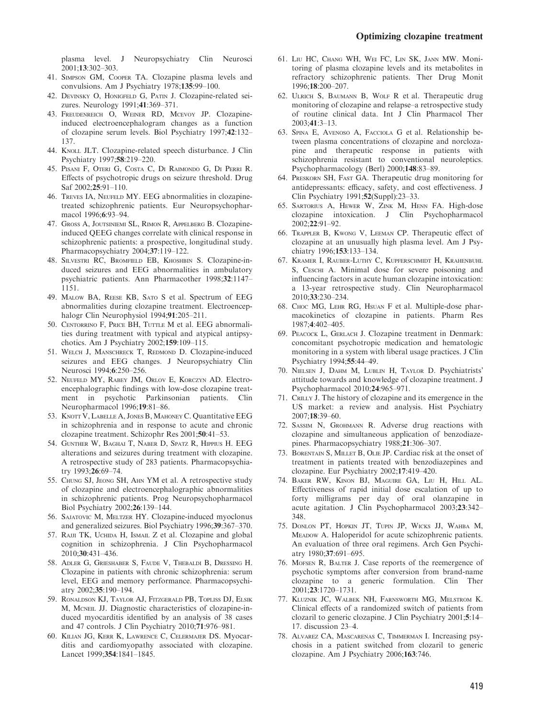plasma level. J Neuropsychiatry Clin Neurosci 2001;13:302–303.

- 41. Simpson GM, Cooper TA. Clozapine plasma levels and convulsions. Am J Psychiatry 1978;135:99–100.
- 42. Devinsky O, Honigfeld G, Patin J. Clozapine-related seizures. Neurology 1991;41:369–371.
- 43. Freudenreich O, Weiner RD, Mcevoy JP. Clozapineinduced electroencephalogram changes as a function of clozapine serum levels. Biol Psychiatry 1997;42:132– 137.
- 44. KNOLL JLT. Clozapine-related speech disturbance. J Clin Psychiatry 1997;58:219–220.
- 45. Pisani F, Oteri G, Costa C, Di Raimondo G, Di Perri R. Effects of psychotropic drugs on seizure threshold. Drug Saf 2002;25:91–110.
- 46. Treves IA, Neufeld MY. EEG abnormalities in clozapinetreated schizophrenic patients. Eur Neuropsychopharmacol 1996;6:93–94.
- 47. Gross A, Joutsiniemi SL, Rimon R, Appelberg B. Clozapineinduced QEEG changes correlate with clinical response in schizophrenic patients: a prospective, longitudinal study. Pharmacopsychiatry 2004;37:119–122.
- 48. Silvestri RC, Bromfield EB, Khoshbin S. Clozapine-induced seizures and EEG abnormalities in ambulatory psychiatric patients. Ann Pharmacother 1998;32:1147– 1151.
- 49. Malow BA, Reese KB, Sato S et al. Spectrum of EEG abnormalities during clozapine treatment. Electroencephalogr Clin Neurophysiol 1994;91:205–211.
- 50. CENTORRINO F, PRICE BH, TUTTLE M et al. EEG abnormalities during treatment with typical and atypical antipsychotics. Am J Psychiatry 2002;159:109–115.
- 51. Welch J, Manschreck T, Redmond D. Clozapine-induced seizures and EEG changes. J Neuropsychiatry Clin Neurosci 1994;6:250–256.
- 52. Neufeld MY, Rabey JM, Orlov E, Korczyn AD. Electroencephalographic findings with low-dose clozapine treatment in psychotic Parkinsonian patients. Clin Neuropharmacol 1996;19:81–86.
- 53. KNOTT V, LABELLE A, JONES B, MAHONEY C. Quantitative EEG in schizophrenia and in response to acute and chronic clozapine treatment. Schizophr Res 2001;50:41–53.
- 54. Gunther W, Baghai T, Naber D, Spatz R, Hippius H. EEG alterations and seizures during treatment with clozapine. A retrospective study of 283 patients. Pharmacopsychiatry 1993;26:69–74.
- 55. Chung SJ, Jeong SH, Ahn YM et al. A retrospective study of clozapine and electroencephalographic abnormalities in schizophrenic patients. Prog Neuropsychopharmacol Biol Psychiatry 2002;26:139–144.
- 56. SAJATOVIC M, MELTZER HY. Clozapine-induced myoclonus and generalized seizures. Biol Psychiatry 1996;39:367–370.
- 57. RAJJI TK, UCHIDA H, ISMAIL Z et al. Clozapine and global cognition in schizophrenia. J Clin Psychopharmacol 2010;30:431–436.
- 58. Adler G, Grieshaber S, Faude V, Thebaldi B, Dressing H. Clozapine in patients with chronic schizophrenia: serum level, EEG and memory performance. Pharmacopsychiatry 2002;35:190–194.
- 59. Ronaldson KJ, Taylor AJ, Fitzgerald PB, Topliss DJ, Elsik M, MCNEIL JJ. Diagnostic characteristics of clozapine-induced myocarditis identified by an analysis of 38 cases and 47 controls. J Clin Psychiatry 2010;71:976–981.
- 60. Kilian JG, Kerr K, Lawrence C, Celermajer DS. Myocarditis and cardiomyopathy associated with clozapine. Lancet 1999;354:1841–1845.
- 61. Liu HC, Chang WH, Wei FC, Lin SK, Jann MW. Monitoring of plasma clozapine levels and its metabolites in refractory schizophrenic patients. Ther Drug Monit 1996;18:200–207.
- 62. Ulrich S, Baumann B, Wolf R et al. Therapeutic drug monitoring of clozapine and relapse–a retrospective study of routine clinical data. Int J Clin Pharmacol Ther 2003;41:3–13.
- 63. Spina E, Avenoso A, Facciola G et al. Relationship between plasma concentrations of clozapine and norclozapine and therapeutic response in patients with schizophrenia resistant to conventional neuroleptics. Psychopharmacology (Berl) 2000;148:83–89.
- 64. Preskorn SH, Fast GA. Therapeutic drug monitoring for antidepressants: efficacy, safety, and cost effectiveness. J Clin Psychiatry 1991;52(Suppl):23–33.
- 65. Sartorius A, Hewer W, Zink M, Henn FA. High-dose clozapine intoxication. J Clin Psychopharmacol 2002;22:91–92.
- 66. Trappler B, Kwong V, Leeman CP. Therapeutic effect of clozapine at an unusually high plasma level. Am J Psychiatry 1996;153:133–134.
- 67. Kramer I, Rauber-Luthy C, Kupferschmidt H, Krahenbuhl S, CESCHI A. Minimal dose for severe poisoning and influencing factors in acute human clozapine intoxication: a 13-year retrospective study. Clin Neuropharmacol 2010;33:230–234.
- 68. Choc MG, Lehr RG, Hsuan F et al. Multiple-dose pharmacokinetics of clozapine in patients. Pharm Res 1987;4:402–405.
- 69. Peacock L, Gerlach J. Clozapine treatment in Denmark: concomitant psychotropic medication and hematologic monitoring in a system with liberal usage practices. J Clin Psychiatry 1994;55:44–49.
- 70. Nielsen J, Dahm M, Lublin H, Taylor D. Psychiatrists! attitude towards and knowledge of clozapine treatment. J Psychopharmacol 2010;24:965–971.
- 71. CRILLY J. The history of clozapine and its emergence in the US market: a review and analysis. Hist Psychiatry 2007;18:39–60.
- 72. Sassim N, Grohmann R. Adverse drug reactions with clozapine and simultaneous application of benzodiazepines. Pharmacopsychiatry 1988;21:306–307.
- 73. Borentain S, Millet B, Olie JP. Cardiac risk at the onset of treatment in patients treated with benzodiazepines and clozapine. Eur Psychiatry 2002;17:419–420.
- 74. Baker RW, Kinon BJ, Maguire GA, Liu H, Hill AL. Effectiveness of rapid initial dose escalation of up to forty milligrams per day of oral olanzapine in acute agitation. J Clin Psychopharmacol 2003;23:342– 348.
- 75. Donlon PT, Hopkin JT, Tupin JP, Wicks JJ, Wahba M, MEADOW A. Haloperidol for acute schizophrenic patients. An evaluation of three oral regimens. Arch Gen Psychiatry 1980;37:691–695.
- 76. Mofsen R, Balter J. Case reports of the reemergence of psychotic symptoms after conversion from brand-name clozapine to a generic formulation. Clin Ther 2001;23:1720–1731.
- 77. Kluznik JC, Walbek NH, Farnsworth MG, Melstrom K. Clinical effects of a randomized switch of patients from clozaril to generic clozapine. J Clin Psychiatry 2001;5:14– 17. discussion 23–4.
- 78. Alvarez CA, Mascarenas C, Timmerman I. Increasing psychosis in a patient switched from clozaril to generic clozapine. Am J Psychiatry 2006;163:746.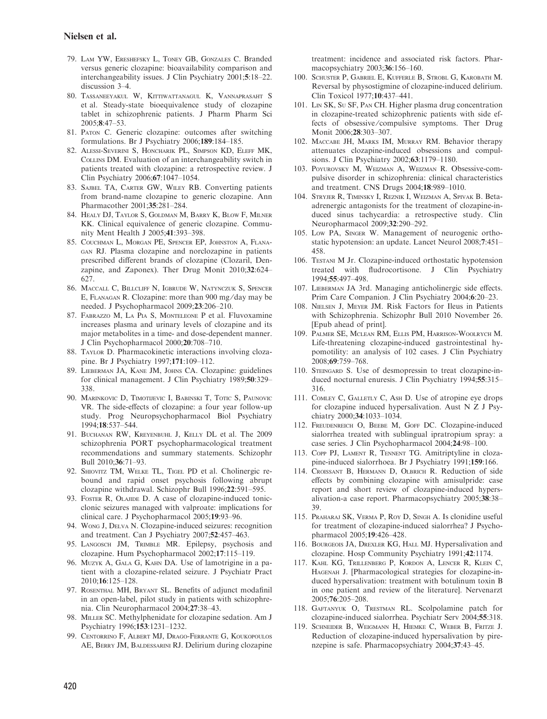- 79. Lam YW, Ereshefsky L, Toney GB, Gonzales C. Branded versus generic clozapine: bioavailability comparison and interchangeability issues. J Clin Psychiatry 2001;5:18–22. discussion 3–4.
- 80. Tassaneeyakul W, Kittiwattanagul K, Vannaprasaht S et al. Steady-state bioequivalence study of clozapine tablet in schizophrenic patients. J Pharm Pharm Sci 2005;8:47–53.
- 81. Paton C. Generic clozapine: outcomes after switching formulations. Br J Psychiatry 2006;189:184–185.
- 82. Alessi-Severini S, Honcharik PL, Simpson KD, Eleff MK, Collins DM. Evaluation of an interchangeability switch in patients treated with clozapine: a retrospective review. J Clin Psychiatry 2006;67:1047–1054.
- 83. Sajbel TA, Carter GW, Wiley RB. Converting patients from brand-name clozapine to generic clozapine. Ann Pharmacother 2001;35:281–284.
- 84. Healy DJ, Taylor S, Goldman M, Barry K, Blow F, Milner KK. Clinical equivalence of generic clozapine. Community Ment Health J 2005;41:393–398.
- 85. Couchman L, Morgan PE, Spencer EP, Johnston A, Flanagan RJ. Plasma clozapine and norclozapine in patients prescribed different brands of clozapine (Clozaril, Denzapine, and Zaponex). Ther Drug Monit 2010;32:624– 627.
- 86. Maccall C, Billcliff N, Igbrude W, Natynczuk S, Spencer E, Flanagan R. Clozapine: more than 900 mg ⁄ day may be needed. J Psychopharmacol 2009;23:206–210.
- 87. Fabrazzo M, La Pia S, Monteleone P et al. Fluvoxamine increases plasma and urinary levels of clozapine and its major metabolites in a time- and dose-dependent manner. J Clin Psychopharmacol 2000;20:708–710.
- 88. Taylor D. Pharmacokinetic interactions involving clozapine. Br J Psychiatry 1997;171:109–112.
- 89. Lieberman JA, Kane JM, Johns CA. Clozapine: guidelines for clinical management. J Clin Psychiatry 1989;50:329– 338.
- 90. MARINKOVIC D, TIMOTIJEVIC I, BABINSKI T, TOTIC S, PAUNOVIC VR. The side-effects of clozapine: a four year follow-up study. Prog Neuropsychopharmacol Biol Psychiatry 1994;18:537–544.
- 91. Buchanan RW, Kreyenbuhl J, Kelly DL et al. The 2009 schizophrenia PORT psychopharmacological treatment recommendations and summary statements. Schizophr Bull 2010;36:71–93.
- 92. Shiovitz TM, Welke TL, Tigel PD et al. Cholinergic rebound and rapid onset psychosis following abrupt clozapine withdrawal. Schizophr Bull 1996;22:591–595.
- 93. Foster R, OLAJIDE D. A case of clozapine-induced tonicclonic seizures managed with valproate: implications for clinical care. J Psychopharmacol 2005;19:93–96.
- 94. Wong J, Delva N. Clozapine-induced seizures: recognition and treatment. Can J Psychiatry 2007;52:457–463.
- 95. LANGOSCH JM, TRIMBLE MR. Epilepsy, psychosis and clozapine. Hum Psychopharmacol 2002;17:115–119.
- 96. Muzyk A, Gala G, Kahn DA. Use of lamotrigine in a patient with a clozapine-related seizure. J Psychiatr Pract 2010;16:125–128.
- 97. Rosenthal MH, Bryant SL. Benefits of adjunct modafinil in an open-label, pilot study in patients with schizophrenia. Clin Neuropharmacol 2004;27:38–43.
- 98. MILLER SC. Methylphenidate for clozapine sedation. Am J Psychiatry 1996;153:1231–1232.
- 99. Centorrino F, Albert MJ, Drago-Ferrante G, Koukopoulos AE, Berry JM, Baldessarini RJ. Delirium during clozapine

treatment: incidence and associated risk factors. Pharmacopsychiatry 2003;36:156–160.

- 100. Schuster P, Gabriel E, Kufferle B, Strobl G, Karobath M. Reversal by physostigmine of clozapine-induced delirium. Clin Toxicol 1977;10:437–441.
- 101. Lin SK, Su SF, Pan CH. Higher plasma drug concentration in clozapine-treated schizophrenic patients with side effects of obsessive ⁄ compulsive symptoms. Ther Drug Monit 2006;28:303–307.
- 102. Maccabe JH, Marks IM, Murray RM. Behavior therapy attenuates clozapine-induced obsessions and compulsions. J Clin Psychiatry 2002;63:1179–1180.
- 103. Poyurovsky M, Weizman A, Weizman R. Obsessive-compulsive disorder in schizophrenia: clinical characteristics and treatment. CNS Drugs 2004;18:989–1010.
- 104. Stryjer R, Timinsky I, Reznik I, Weizman A, Spivak B. Betaadrenergic antagonists for the treatment of clozapine-induced sinus tachycardia: a retrospective study. Clin Neuropharmacol 2009;32:290–292.
- 105. Low PA, Singer W. Management of neurogenic orthostatic hypotension: an update. Lancet Neurol 2008;7:451– 458.
- 106. Testani M Jr. Clozapine-induced orthostatic hypotension treated with fludrocortisone. J Clin Psychiatry 1994;55:497–498.
- 107. LIEBERMAN JA 3rd. Managing anticholinergic side effects. Prim Care Companion. J Clin Psychiatry 2004;6:20–23.
- 108. Nielsen J, Meyer JM. Risk Factors for Ileus in Patients with Schizophrenia. Schizophr Bull 2010 November 26. [Epub ahead of print].
- 109. Palmer SE, Mclean RM, Ellis PM, Harrison-Woolrych M. Life-threatening clozapine-induced gastrointestinal hypomotility: an analysis of 102 cases. J Clin Psychiatry 2008;69:759–768.
- 110. STEINGARD S. Use of desmopressin to treat clozapine-induced nocturnal enuresis. J Clin Psychiatry 1994;55:315– 316.
- 111. COMLEY C, GALLETLY C, ASH D. Use of atropine eye drops for clozapine induced hypersalivation. Aust N Z J Psychiatry 2000;34:1033–1034.
- 112. Freudenreich O, Beebe M, Goff DC. Clozapine-induced sialorrhea treated with sublingual ipratropium spray: a case series. J Clin Psychopharmacol 2004;24:98–100.
- 113. Copp PJ, Lament R, Tennent TG. Amitriptyline in clozapine-induced sialorrhoea. Br J Psychiatry 1991;159:166.
- 114. Croissant B, Hermann D, Olbrich R. Reduction of side effects by combining clozapine with amisulpride: case report and short review of clozapine-induced hypersalivation-a case report. Pharmacopsychiatry 2005;38:38– 39.
- 115. Praharaj SK, Verma P, Roy D, Singh A. Is clonidine useful for treatment of clozapine-induced sialorrhea? J Psychopharmacol 2005;19:426–428.
- 116. BOURGEOIS JA, DREXLER KG, HALL MJ. Hypersalivation and clozapine. Hosp Community Psychiatry 1991;42:1174.
- 117. Kahl KG, Trillenberg P, Kordon A, Lencer R, Klein C, Hagenah J. [Pharmacological strategies for clozapine-induced hypersalivation: treatment with botulinum toxin B in one patient and review of the literature]. Nervenarzt 2005;76:205–208.
- 118. Gaftanyuk O, Trestman RL. Scolpolamine patch for clozapine-induced sialorrhea. Psychiatr Serv 2004;55:318.
- 119. Schneider B, Weigmann H, Hiemke C, Weber B, Fritze J. Reduction of clozapine-induced hypersalivation by pirenzepine is safe. Pharmacopsychiatry 2004;37:43–45.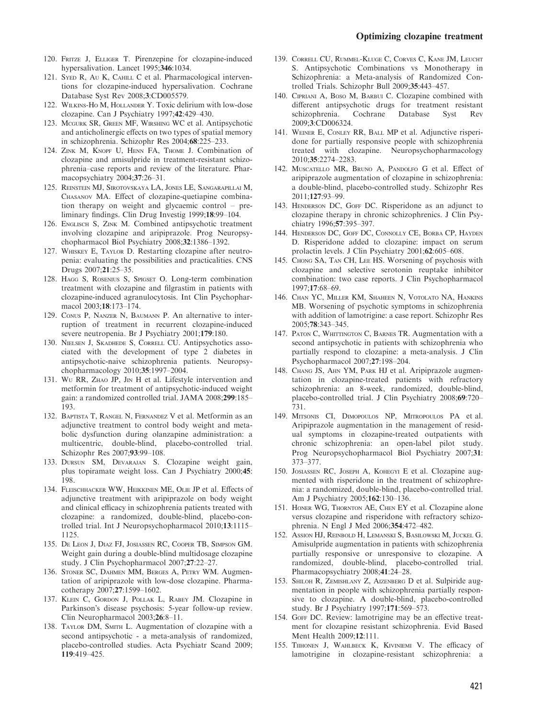- 120. FRITZE J, ELLIGER T. Pirenzepine for clozapine-induced hypersalivation. Lancet 1995;346:1034.
- 121. SYED R, AU K, CAHILL C et al. Pharmacological interventions for clozapine-induced hypersalivation. Cochrane Database Syst Rev 2008;3:CD005579.
- 122. WILKINS-HO M, HOLLANDER Y. Toxic delirium with low-dose clozapine. Can J Psychiatry 1997;42:429–430.
- 123. Mcgurk SR, Green MF, Wirshing WC et al. Antipsychotic and anticholinergic effects on two types of spatial memory in schizophrenia. Schizophr Res 2004;68:225–233.
- 124. Zink M, Knopf U, Henn FA, Thome J. Combination of clozapine and amisulpride in treatment-resistant schizophrenia–case reports and review of the literature. Pharmacopsychiatry 2004;37:26–31.
- 125. Reinstein MJ, Sirotovskaya LA, Jones LE, Sangarapillai M, Chasanov MA. Effect of clozapine-quetiapine combination therapy on weight and glycaemic control – preliminary findings. Clin Drug Investig 1999;18:99–104.
- 126. ENGLISCH S, ZINK M. Combined antipsychotic treatment involving clozapine and aripiprazole. Prog Neuropsychopharmacol Biol Psychiatry 2008;32:1386–1392.
- 127. Whiskey E, Taylor D. Restarting clozapine after neutropenia: evaluating the possibilities and practicalities. CNS Drugs 2007;21:25–35.
- 128. HAGG S, ROSENIUS S, SPIGSET O. Long-term combination treatment with clozapine and filgrastim in patients with clozapine-induced agranulocytosis. Int Clin Psychopharmacol 2003;18:173–174.
- 129. Conus P, Nanzer N, Baumann P. An alternative to interruption of treatment in recurrent clozapine-induced severe neutropenia. Br J Psychiatry 2001;179:180.
- 130. Nielsen J, Skadhede S, Correll CU. Antipsychotics associated with the development of type 2 diabetes in antipsychotic-naive schizophrenia patients. Neuropsychopharmacology 2010;35:1997–2004.
- 131. Wu RR, ZHAO JP, JIN H et al. Lifestyle intervention and metformin for treatment of antipsychotic-induced weight gain: a randomized controlled trial. JAMA 2008;299:185– 193.
- 132. Baptista T, Rangel N, Fernandez V et al. Metformin as an adjunctive treatment to control body weight and metabolic dysfunction during olanzapine administration: a multicentric, double-blind, placebo-controlled trial. Schizophr Res 2007;93:99–108.
- 133. Dursun SM, Devarajan S. Clozapine weight gain, plus topiramate weight loss. Can J Psychiatry 2000;45: 198.
- 134. Fleischhacker WW, Heikkinen ME, Olie JP et al. Effects of adjunctive treatment with aripiprazole on body weight and clinical efficacy in schizophrenia patients treated with clozapine: a randomized, double-blind, placebo-controlled trial. Int J Neuropsychopharmacol 2010;13:1115– 1125.
- 135. De Leon J, Diaz FJ, Josiassen RC, Cooper TB, Simpson GM. Weight gain during a double-blind multidosage clozapine study. J Clin Psychopharmacol 2007;27:22–27.
- 136. STONER SC, DAHMEN MM, BERGES A, PETRY WM. Augmentation of aripiprazole with low-dose clozapine. Pharmacotherapy 2007;27:1599–1602.
- 137. Klein C, Gordon J, Pollak L, Rabey JM. Clozapine in Parkinson's disease psychosis: 5-year follow-up review. Clin Neuropharmacol 2003;26:8–11.
- 138. Taylor DM, Smith L. Augmentation of clozapine with a second antipsychotic - a meta-analysis of randomized, placebo-controlled studies. Acta Psychiatr Scand 2009; 119:419–425.
- 139. Correll CU, Rummel-Kluge C, Corves C, Kane JM, Leucht S. Antipsychotic Combinations vs Monotherapy in Schizophrenia: a Meta-analysis of Randomized Controlled Trials. Schizophr Bull 2009;35:443–457.
- 140. CIPRIANI A, Boso M, BARBUI C. Clozapine combined with different antipsychotic drugs for treatment resistant schizophrenia. Cochrane Database Syst Rev 2009;3:CD006324.
- 141. Weiner E, Conley RR, Ball MP et al. Adjunctive risperidone for partially responsive people with schizophrenia treated with clozapine. Neuropsychopharmacology 2010;35:2274–2283.
- 142. MUSCATELLO MR, BRUNO A, PANDOLFO G et al. Effect of aripiprazole augmentation of clozapine in schizophrenia: a double-blind, placebo-controlled study. Schizophr Res 2011;127:93–99.
- 143. HENDERSON DC, GOFF DC. Risperidone as an adjunct to clozapine therapy in chronic schizophrenics. J Clin Psychiatry 1996;57:395–397.
- 144. Henderson DC, Goff DC, Connolly CE, Borba CP, Hayden D. Risperidone added to clozapine: impact on serum prolactin levels. J Clin Psychiatry 2001;62:605–608.
- 145. Chong SA, Tan CH, Lee HS. Worsening of psychosis with clozapine and selective serotonin reuptake inhibitor combination: two case reports. J Clin Psychopharmacol 1997;17:68–69.
- 146. Chan YC, Miller KM, Shaheen N, Votolato NA, Hankins MB. Worsening of psychotic symptoms in schizophrenia with addition of lamotrigine: a case report. Schizophr Res 2005;78:343–345.
- 147. Paton C, Whittington C, Barnes TR. Augmentation with a second antipsychotic in patients with schizophrenia who partially respond to clozapine: a meta-analysis. J Clin Psychopharmacol 2007;27:198–204.
- 148. Chang JS, Ahn YM, Park HJ et al. Aripiprazole augmentation in clozapine-treated patients with refractory schizophrenia: an 8-week, randomized, double-blind, placebo-controlled trial. J Clin Psychiatry 2008;69:720– 731.
- 149. Mitsonis CI, Dimopoulos NP, Mitropoulos PA et al. Aripiprazole augmentation in the management of residual symptoms in clozapine-treated outpatients with chronic schizophrenia: an open-label pilot study. Prog Neuropsychopharmacol Biol Psychiatry 2007;31: 373–377.
- 150. Josiassen RC, Joseph A, Kohegyi E et al. Clozapine augmented with risperidone in the treatment of schizophrenia: a randomized, double-blind, placebo-controlled trial. Am J Psychiatry 2005;162:130–136.
- 151. Honer WG, Thornton AE, Chen EY et al. Clozapine alone versus clozapine and risperidone with refractory schizophrenia. N Engl J Med 2006;354:472–482.
- 152. Assion HJ, Reinbold H, Lemanski S, Basilowski M, Juckel G. Amisulpride augmentation in patients with schizophrenia partially responsive or unresponsive to clozapine. A randomized, double-blind, placebo-controlled trial. Pharmacopsychiatry 2008;41:24–28.
- 153. Shiloh R, Zemishlany Z, Aizenberg D et al. Sulpiride augmentation in people with schizophrenia partially responsive to clozapine. A double-blind, placebo-controlled study. Br J Psychiatry 1997;171:569–573.
- 154. GoFF DC. Review: lamotrigine may be an effective treatment for clozapine resistant schizophrenia. Evid Based Ment Health 2009;12:111.
- 155. Tiihonen J, Wahlbeck K, Kiviniemi V. The efficacy of lamotrigine in clozapine-resistant schizophrenia: a